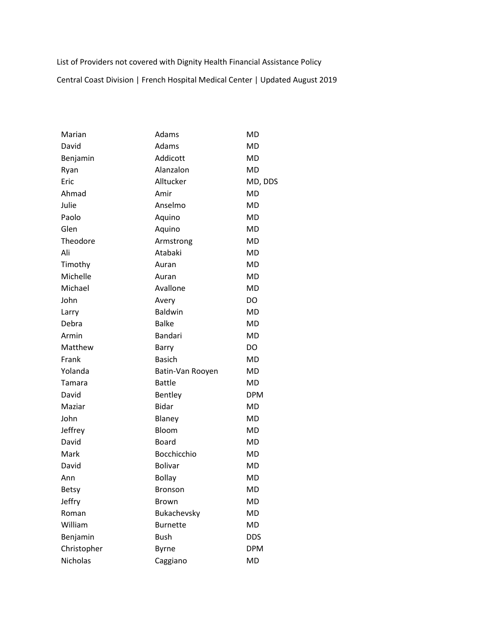List of Providers not covered with Dignity Health Financial Assistance Policy

Central Coast Division | French Hospital Medical Center | Updated August 2019

| Marian          | Adams            | <b>MD</b>  |
|-----------------|------------------|------------|
| David           | Adams            | MD         |
| Benjamin        | Addicott         | MD         |
| Ryan            | Alanzalon        | MD         |
| Eric            | Alltucker        | MD, DDS    |
| Ahmad           | Amir             | MD         |
| Julie           | Anselmo          | <b>MD</b>  |
| Paolo           | Aquino           | <b>MD</b>  |
| Glen            | Aquino           | <b>MD</b>  |
| Theodore        | Armstrong        | <b>MD</b>  |
| Ali             | Atabaki          | MD         |
| Timothy         | Auran            | <b>MD</b>  |
| Michelle        | Auran            | <b>MD</b>  |
| Michael         | Avallone         | <b>MD</b>  |
| John            | Avery            | DO         |
| Larry           | <b>Baldwin</b>   | <b>MD</b>  |
| Debra           | <b>Balke</b>     | <b>MD</b>  |
| Armin           | <b>Bandari</b>   | <b>MD</b>  |
| Matthew         | Barry            | DO         |
| Frank           | <b>Basich</b>    | MD         |
| Yolanda         | Batin-Van Rooyen | MD         |
| Tamara          | <b>Battle</b>    | MD         |
| David           | <b>Bentley</b>   | <b>DPM</b> |
| Maziar          | <b>Bidar</b>     | MD         |
| John            | Blaney           | <b>MD</b>  |
| Jeffrey         | Bloom            | <b>MD</b>  |
| David           | Board            | <b>MD</b>  |
| Mark            | Bocchicchio      | MD         |
| David           | <b>Bolivar</b>   | <b>MD</b>  |
| Ann             | <b>Bollay</b>    | MD         |
| <b>Betsy</b>    | <b>Bronson</b>   | MD         |
| Jeffry          | <b>Brown</b>     | MD         |
| Roman           | Bukachevsky      | <b>MD</b>  |
| William         | <b>Burnette</b>  | MD         |
| Benjamin        | <b>Bush</b>      | <b>DDS</b> |
| Christopher     | <b>Byrne</b>     | <b>DPM</b> |
| <b>Nicholas</b> | Caggiano         | MD         |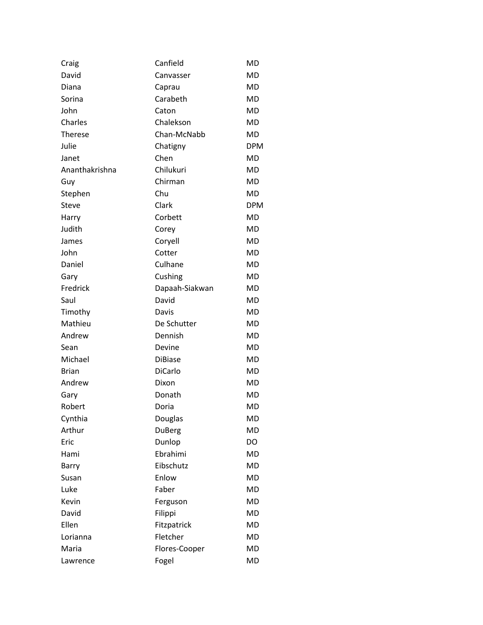| Craig          | Canfield       | <b>MD</b>  |
|----------------|----------------|------------|
| David          | Canvasser      | <b>MD</b>  |
| Diana          | Caprau         | <b>MD</b>  |
| Sorina         | Carabeth       | MD         |
| John           | Caton          | MD         |
| Charles        | Chalekson      | <b>MD</b>  |
| <b>Therese</b> | Chan-McNabb    | MD         |
| Julie          | Chatigny       | <b>DPM</b> |
| Janet          | Chen           | MD         |
| Ananthakrishna | Chilukuri      | <b>MD</b>  |
| Guy            | Chirman        | MD         |
| Stephen        | Chu            | <b>MD</b>  |
| Steve          | Clark          | <b>DPM</b> |
| Harry          | Corbett        | <b>MD</b>  |
| Judith         | Corey          | MD         |
| James          | Coryell        | MD         |
| John           | Cotter         | MD         |
| Daniel         | Culhane        | <b>MD</b>  |
| Gary           | Cushing        | <b>MD</b>  |
| Fredrick       | Dapaah-Siakwan | <b>MD</b>  |
| Saul           | David          | MD         |
| Timothy        | Davis          | <b>MD</b>  |
| Mathieu        | De Schutter    | MD         |
| Andrew         | Dennish        | <b>MD</b>  |
| Sean           | Devine         | MD         |
| Michael        | <b>DiBiase</b> | <b>MD</b>  |
| <b>Brian</b>   | <b>DiCarlo</b> | MD         |
| Andrew         | Dixon          | <b>MD</b>  |
| Gary           | Donath         | MD         |
| Robert         | Doria          | <b>MD</b>  |
| Cynthia        | Douglas        | <b>MD</b>  |
| Arthur         | DuBerg         | <b>MD</b>  |
| Eric           | Dunlop         | DO         |
| Hami           | Ebrahimi       | <b>MD</b>  |
| Barry          | Eibschutz      | <b>MD</b>  |
| Susan          | Enlow          | <b>MD</b>  |
| Luke           | Faber          | MD         |
| Kevin          | Ferguson       | <b>MD</b>  |
| David          | Filippi        | MD         |
| Ellen          | Fitzpatrick    | <b>MD</b>  |
| Lorianna       | Fletcher       | MD         |
| Maria          | Flores-Cooper  | <b>MD</b>  |
| Lawrence       | Fogel          | MD         |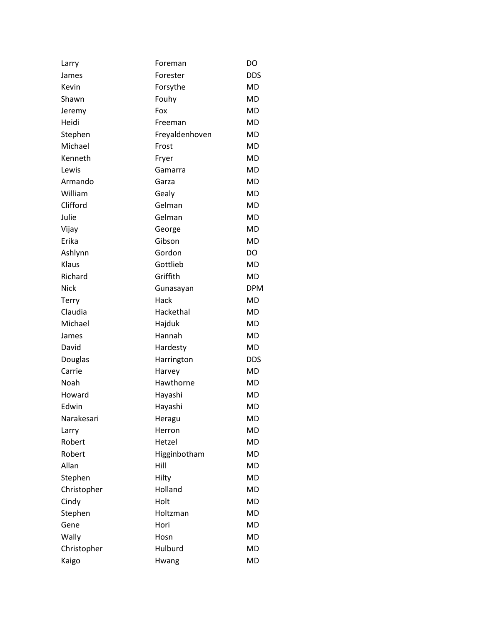| Larry       | Foreman        | DO         |
|-------------|----------------|------------|
| James       | Forester       | <b>DDS</b> |
| Kevin       | Forsythe       | <b>MD</b>  |
| Shawn       | Fouhy          | MD         |
| Jeremy      | Fox            | MD         |
| Heidi       | Freeman        | MD         |
| Stephen     | Freyaldenhoven | MD         |
| Michael     | Frost          | <b>MD</b>  |
| Kenneth     | Fryer          | MD         |
| Lewis       | Gamarra        | MD         |
| Armando     | Garza          | MD         |
| William     | Gealy          | MD         |
| Clifford    | Gelman         | MD         |
| Julie       | Gelman         | <b>MD</b>  |
| Vijay       | George         | MD         |
| Erika       | Gibson         | MD         |
| Ashlynn     | Gordon         | DO         |
| Klaus       | Gottlieb       | <b>MD</b>  |
| Richard     | Griffith       | MD         |
| <b>Nick</b> | Gunasayan      | <b>DPM</b> |
| Terry       | Hack           | MD         |
| Claudia     | Hackethal      | MD         |
| Michael     | Hajduk         | MD         |
| James       | Hannah         | MD         |
| David       | Hardesty       | MD         |
| Douglas     | Harrington     | <b>DDS</b> |
| Carrie      | Harvey         | <b>MD</b>  |
| Noah        | Hawthorne      | MD         |
| Howard      | Hayashi        | MD         |
| Edwin       | Hayashi        | <b>MD</b>  |
| Narakesari  | Heragu         | <b>MD</b>  |
| Larry       | Herron         | <b>MD</b>  |
| Robert      | Hetzel         | MD         |
| Robert      | Higginbotham   | <b>MD</b>  |
| Allan       | Hill           | MD         |
| Stephen     | Hilty          | <b>MD</b>  |
| Christopher | Holland        | <b>MD</b>  |
| Cindy       | Holt           | <b>MD</b>  |
| Stephen     | Holtzman       | MD         |
| Gene        | Hori           | <b>MD</b>  |
| Wally       | Hosn           | <b>MD</b>  |
| Christopher | Hulburd        | <b>MD</b>  |
| Kaigo       | Hwang          | MD         |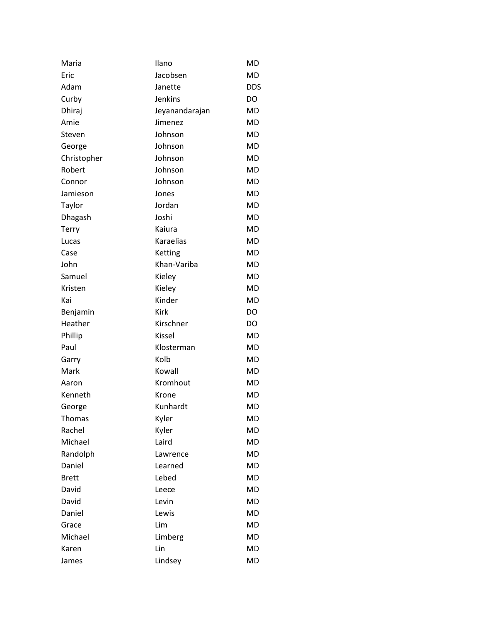| Maria        | Ilano          | MD         |
|--------------|----------------|------------|
| Eric         | Jacobsen       | MD         |
| Adam         | Janette        | <b>DDS</b> |
| Curby        | <b>Jenkins</b> | DO         |
| Dhiraj       | Jeyanandarajan | MD         |
| Amie         | Jimenez        | MD         |
| Steven       | Johnson        | MD         |
| George       | Johnson        | MD         |
| Christopher  | Johnson        | MD         |
| Robert       | Johnson        | MD         |
| Connor       | Johnson        | MD         |
| Jamieson     | Jones          | MD         |
| Taylor       | Jordan         | MD         |
| Dhagash      | Joshi          | MD         |
| Terry        | Kaiura         | MD         |
| Lucas        | Karaelias      | MD         |
| Case         | Ketting        | MD         |
| John         | Khan-Variba    | MD         |
| Samuel       | Kieley         | MD         |
| Kristen      | Kieley         | MD         |
| Kai          | Kinder         | MD         |
| Benjamin     | Kirk           | DO         |
| Heather      | Kirschner      | DO         |
| Phillip      | Kissel         | MD         |
| Paul         | Klosterman     | MD         |
| Garry        | Kolb           | MD         |
| Mark         | Kowall         | MD         |
| Aaron        | Kromhout       | <b>MD</b>  |
| Kenneth      | Krone          | <b>MD</b>  |
| George       | Kunhardt       | MD         |
| Thomas       | Kyler          | MD         |
| Rachel       | Kyler          | MD         |
| Michael      | Laird          | MD         |
| Randolph     | Lawrence       | <b>MD</b>  |
| Daniel       | Learned        | MD         |
| <b>Brett</b> | Lebed          | MD         |
| David        | Leece          | MD         |
| David        | Levin          | <b>MD</b>  |
| Daniel       | Lewis          | MD         |
| Grace        | Lim            | MD         |
| Michael      | Limberg        | MD         |
| Karen        | Lin            | MD         |
| James        | Lindsey        | MD         |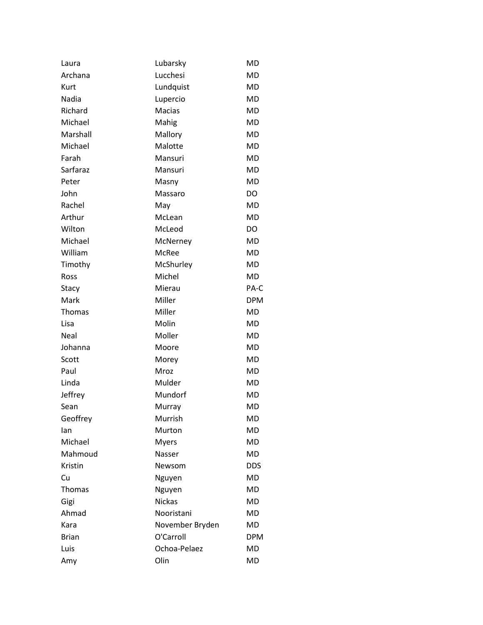| Laura        | Lubarsky        | MD         |
|--------------|-----------------|------------|
| Archana      | Lucchesi        | MD         |
| Kurt         | Lundquist       | MD         |
| Nadia        | Lupercio        | MD         |
| Richard      | <b>Macias</b>   | MD         |
| Michael      | Mahig           | MD         |
| Marshall     | Mallory         | MD         |
| Michael      | Malotte         | MD         |
| Farah        | Mansuri         | MD         |
| Sarfaraz     | Mansuri         | MD         |
| Peter        | Masny           | MD         |
| John         | Massaro         | DO         |
| Rachel       | May             | MD         |
| Arthur       | McLean          | <b>MD</b>  |
| Wilton       | McLeod          | DO         |
| Michael      | McNerney        | MD         |
| William      | McRee           | MD         |
| Timothy      | McShurley       | MD         |
| Ross         | Michel          | <b>MD</b>  |
| Stacy        | Mierau          | PA-C       |
| Mark         | Miller          | <b>DPM</b> |
| Thomas       | Miller          | MD         |
| Lisa         | Molin           | MD         |
| Neal         | Moller          | MD         |
| Johanna      | Moore           | MD         |
| Scott        | Morey           | MD         |
| Paul         | Mroz            | MD         |
| Linda        | Mulder          | MD         |
| Jeffrey      | Mundorf         | MD         |
| Sean         | Murray          | MD         |
| Geoffrey     | Murrish         | MD         |
| lan          | Murton          | MD         |
| Michael      | <b>Myers</b>    | MD         |
| Mahmoud      | Nasser          | MD         |
| Kristin      | Newsom          | DDS        |
| Cu           | Nguyen          | <b>MD</b>  |
| Thomas       | Nguyen          | MD         |
| Gigi         | <b>Nickas</b>   | MD         |
| Ahmad        | Nooristani      | MD         |
| Kara         | November Bryden | MD         |
| <b>Brian</b> | O'Carroll       | <b>DPM</b> |
| Luis         | Ochoa-Pelaez    | MD         |
| Amy          | Olin            | MD         |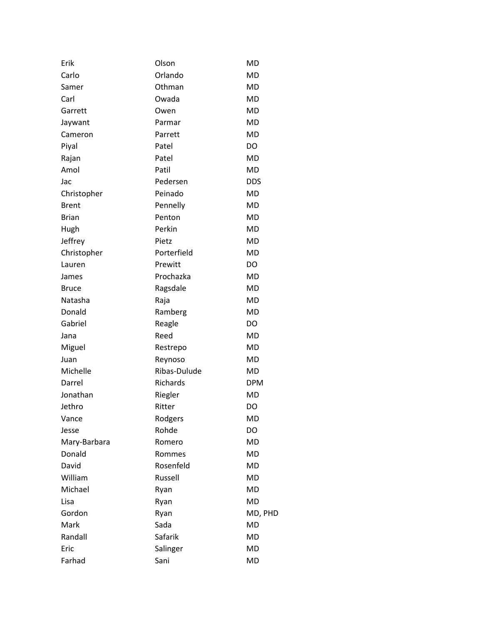| Erik         | Olson        | MD         |
|--------------|--------------|------------|
| Carlo        | Orlando      | MD         |
| Samer        | Othman       | MD         |
| Carl         | Owada        | <b>MD</b>  |
| Garrett      | Owen         | MD         |
| Jaywant      | Parmar       | MD         |
| Cameron      | Parrett      | MD         |
| Piyal        | Patel        | DO         |
| Rajan        | Patel        | <b>MD</b>  |
| Amol         | Patil        | MD         |
| Jac          | Pedersen     | <b>DDS</b> |
| Christopher  | Peinado      | MD         |
| <b>Brent</b> | Pennelly     | MD         |
| <b>Brian</b> | Penton       | MD         |
| Hugh         | Perkin       | MD         |
| Jeffrey      | Pietz        | MD         |
| Christopher  | Porterfield  | MD         |
| Lauren       | Prewitt      | DO         |
| James        | Prochazka    | MD         |
| <b>Bruce</b> | Ragsdale     | MD         |
| Natasha      | Raja         | MD         |
| Donald       | Ramberg      | MD         |
| Gabriel      | Reagle       | DO         |
| Jana         | Reed         | MD         |
| Miguel       | Restrepo     | MD         |
| Juan         | Reynoso      | MD         |
| Michelle     | Ribas-Dulude | <b>MD</b>  |
| Darrel       | Richards     | <b>DPM</b> |
| Jonathan     | Riegler      | <b>MD</b>  |
| Jethro       | Ritter       | DO         |
| Vance        | Rodgers      | MD         |
| Jesse        | Rohde        | DO         |
| Mary-Barbara | Romero       | MD         |
| Donald       | Rommes       | <b>MD</b>  |
| David        | Rosenfeld    | MD         |
| William      | Russell      | <b>MD</b>  |
| Michael      | Ryan         | <b>MD</b>  |
| Lisa         | Ryan         | <b>MD</b>  |
| Gordon       | Ryan         | MD, PHD    |
| Mark         | Sada         | <b>MD</b>  |
| Randall      | Safarik      | MD         |
| Eric         | Salinger     | MD         |
| Farhad       | Sani         | MD         |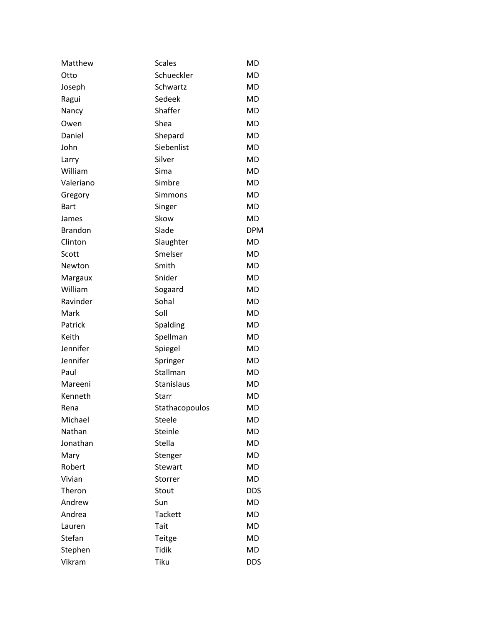| Matthew        | <b>Scales</b>  | <b>MD</b>  |
|----------------|----------------|------------|
| Otto           | Schueckler     | <b>MD</b>  |
| Joseph         | Schwartz       | MD         |
| Ragui          | Sedeek         | <b>MD</b>  |
| Nancy          | Shaffer        | MD         |
| Owen           | Shea           | MD         |
| Daniel         | Shepard        | MD         |
| John           | Siebenlist     | MD         |
| Larry          | Silver         | MD         |
| William        | Sima           | MD         |
| Valeriano      | Simbre         | MD         |
| Gregory        | Simmons        | MD         |
| <b>Bart</b>    | Singer         | MD         |
| James          | Skow           | MD         |
| <b>Brandon</b> | Slade          | <b>DPM</b> |
| Clinton        | Slaughter      | <b>MD</b>  |
| Scott          | Smelser        | MD         |
| Newton         | Smith          | MD         |
| Margaux        | Snider         | MD         |
| William        | Sogaard        | MD         |
| Ravinder       | Sohal          | MD         |
| Mark           | Soll           | MD         |
| Patrick        | Spalding       | MD         |
| Keith          | Spellman       | MD         |
| Jennifer       | Spiegel        | MD         |
| Jennifer       | Springer       | MD         |
| Paul           | Stallman       | <b>MD</b>  |
| Mareeni        | Stanislaus     | MD         |
| Kenneth        | Starr          | MD         |
| Rena           | Stathacopoulos | MD         |
| Michael        | <b>Steele</b>  | MD         |
| Nathan         | Steinle        | <b>MD</b>  |
| Jonathan       | Stella         | MD         |
| Mary           | Stenger        | MD         |
| Robert         | Stewart        | MD         |
| Vivian         | Storrer        | MD         |
| Theron         | Stout          | <b>DDS</b> |
| Andrew         | Sun            | MD         |
| Andrea         | <b>Tackett</b> | MD         |
| Lauren         | Tait           | MD         |
| Stefan         | Teitge         | MD         |
| Stephen        | <b>Tidik</b>   | MD         |
| Vikram         | Tiku           | <b>DDS</b> |